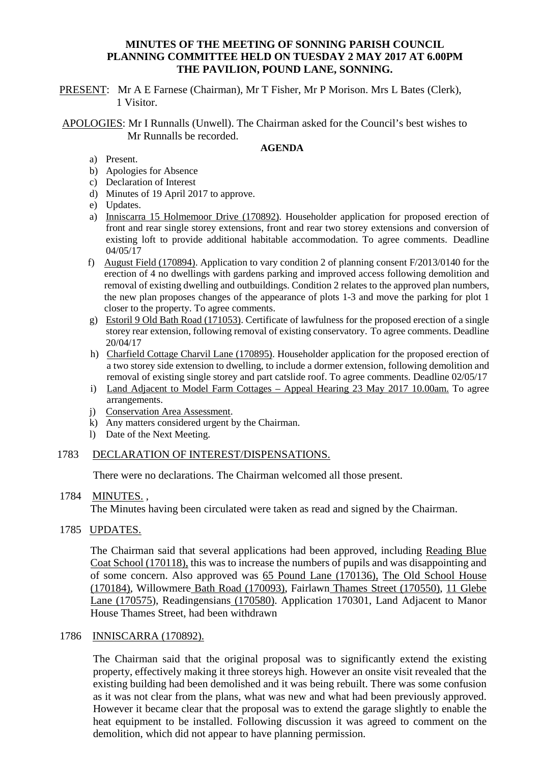# **MINUTES OF THE MEETING OF SONNING PARISH COUNCIL PLANNING COMMITTEE HELD ON TUESDAY 2 MAY 2017 AT 6.00PM THE PAVILION, POUND LANE, SONNING.**

PRESENT: Mr A E Farnese (Chairman), Mr T Fisher, Mr P Morison. Mrs L Bates (Clerk), 1 Visitor.

APOLOGIES: Mr I Runnalls (Unwell). The Chairman asked for the Council's best wishes to Mr Runnalls be recorded.

#### **AGENDA**

- a) Present.
- b) Apologies for Absence
- c) Declaration of Interest
- d) Minutes of 19 April 2017 to approve.
- e) Updates.
- a) Inniscarra 15 Holmemoor Drive (170892). Householder application for proposed erection of front and rear single storey extensions, front and rear two storey extensions and conversion of existing loft to provide additional habitable accommodation. To agree comments. Deadline 04/05/17
- f) August Field (170894). Application to vary condition 2 of planning consent F/2013/0140 for the erection of 4 no dwellings with gardens parking and improved access following demolition and removal of existing dwelling and outbuildings. Condition 2 relates to the approved plan numbers, the new plan proposes changes of the appearance of plots 1-3 and move the parking for plot 1 closer to the property. To agree comments.
- g) Estoril 9 Old Bath Road (171053). Certificate of lawfulness for the proposed erection of a single storey rear extension, following removal of existing conservatory. To agree comments. Deadline 20/04/17
- h) Charfield Cottage Charvil Lane (170895). Householder application for the proposed erection of a two storey side extension to dwelling, to include a dormer extension, following demolition and removal of existing single storey and part catslide roof. To agree comments. Deadline 02/05/17
- i) Land Adjacent to Model Farm Cottages Appeal Hearing 23 May 2017 10.00am. To agree arrangements.
- j) Conservation Area Assessment.
- k) Any matters considered urgent by the Chairman.
- l) Date of the Next Meeting.

# 1783 DECLARATION OF INTEREST/DISPENSATIONS.

There were no declarations. The Chairman welcomed all those present.

#### 1784 MINUTES. ,

The Minutes having been circulated were taken as read and signed by the Chairman.

# 1785 UPDATES.

The Chairman said that several applications had been approved, including Reading Blue Coat School (170118), this was to increase the numbers of pupils and was disappointing and of some concern. Also approved was 65 Pound Lane (170136), The Old School House (170184), Willowmere Bath Road (170093), Fairlawn Thames Street (170550), 11 Glebe Lane (170575), Readingensians (170580). Application 170301, Land Adjacent to Manor House Thames Street, had been withdrawn

# 1786 INNISCARRA (170892).

The Chairman said that the original proposal was to significantly extend the existing property, effectively making it three storeys high. However an onsite visit revealed that the existing building had been demolished and it was being rebuilt. There was some confusion as it was not clear from the plans, what was new and what had been previously approved. However it became clear that the proposal was to extend the garage slightly to enable the heat equipment to be installed. Following discussion it was agreed to comment on the demolition, which did not appear to have planning permission.